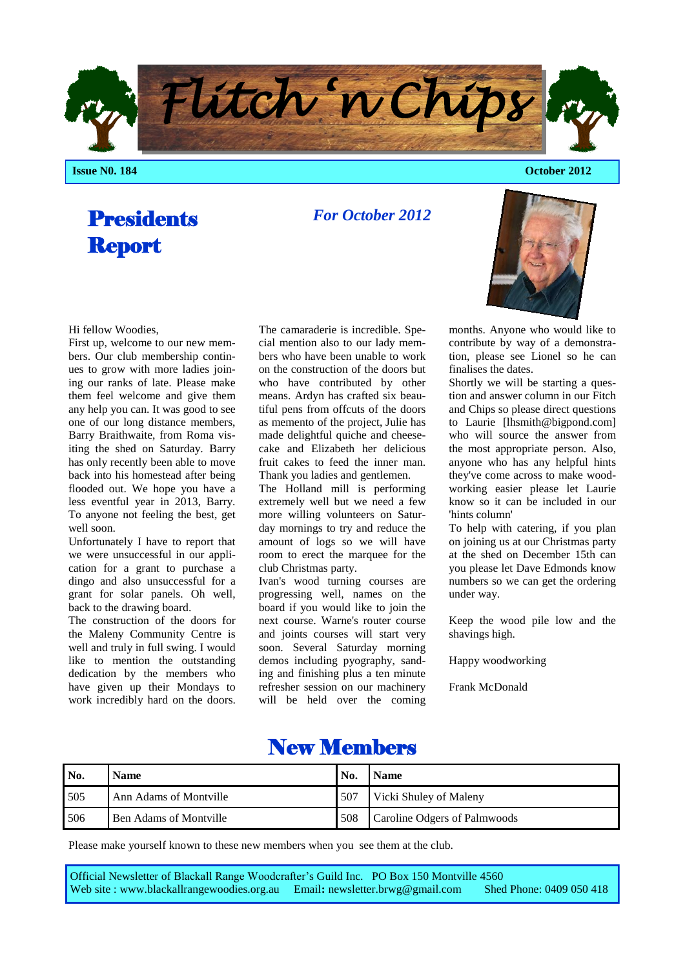**Issue N0. 184 October 2012** 

# **Presidents** Report

*For October 2012*

#### Hi fellow Woodies,

First up, welcome to our new members. Our club membership continues to grow with more ladies joining our ranks of late. Please make them feel welcome and give them any help you can. It was good to see one of our long distance members, Barry Braithwaite, from Roma visiting the shed on Saturday. Barry has only recently been able to move back into his homestead after being flooded out. We hope you have a less eventful year in 2013, Barry. To anyone not feeling the best, get well soon.

Unfortunately I have to report that we were unsuccessful in our application for a grant to purchase a dingo and also unsuccessful for a grant for solar panels. Oh well, back to the drawing board.

The construction of the doors for the Maleny Community Centre is well and truly in full swing. I would like to mention the outstanding dedication by the members who have given up their Mondays to work incredibly hard on the doors.

The camaraderie is incredible. Special mention also to our lady members who have been unable to work on the construction of the doors but who have contributed by other means. Ardyn has crafted six beautiful pens from offcuts of the doors as memento of the project, Julie has made delightful quiche and cheesecake and Elizabeth her delicious fruit cakes to feed the inner man. Thank you ladies and gentlemen.

The Holland mill is performing extremely well but we need a few more willing volunteers on Saturday mornings to try and reduce the amount of logs so we will have room to erect the marquee for the club Christmas party.

Ivan's wood turning courses are progressing well, names on the board if you would like to join the next course. Warne's router course and joints courses will start very soon. Several Saturday morning demos including pyography, sanding and finishing plus a ten minute refresher session on our machinery will be held over the coming

months. Anyone who would like to contribute by way of a demonstration, please see Lionel so he can

finalises the dates. Shortly we will be starting a question and answer column in our Fitch and Chips so please direct questions to Laurie [lhsmith@bigpond.com] who will source the answer from the most appropriate person. Also, anyone who has any helpful hints they've come across to make woodworking easier please let Laurie know so it can be included in our 'hints column'

To help with catering, if you plan on joining us at our Christmas party at the shed on December 15th can you please let Dave Edmonds know numbers so we can get the ordering under way.

Keep the wood pile low and the shavings high.

Happy woodworking

Frank McDonald

## New Members

| No. | <b>Name</b>                   | No. | <b>Name</b>                  |
|-----|-------------------------------|-----|------------------------------|
| 505 | Ann Adams of Montville        | 507 | Vicki Shuley of Maleny       |
| 506 | <b>Ben Adams of Montville</b> | 508 | Caroline Odgers of Palmwoods |

Please make yourself known to these new members when you see them at the club.

Official Newsletter of Blackall Range Woodcrafter's Guild Inc. PO Box 150 Montville 4560 Web site : www.blackallrangewoodies.org.au Email**:** newsletter.brwg@gmail.com Shed Phone: 0409 050 418

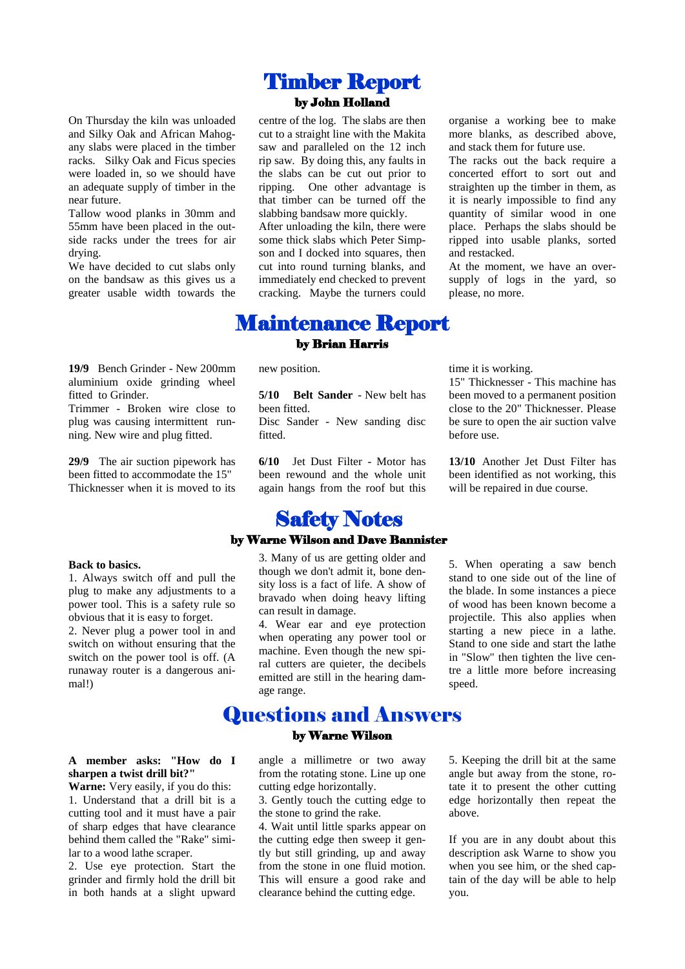On Thursday the kiln was unloaded and Silky Oak and African Mahogany slabs were placed in the timber racks. Silky Oak and Ficus species were loaded in, so we should have an adequate supply of timber in the near future.

Tallow wood planks in 30mm and 55mm have been placed in the outside racks under the trees for air drying.

We have decided to cut slabs only on the bandsaw as this gives us a greater usable width towards the

**19/9** Bench Grinder - New 200mm aluminium oxide grinding wheel fitted to Grinder.

Trimmer - Broken wire close to plug was causing intermittent running. New wire and plug fitted.

**29/9** The air suction pipework has been fitted to accommodate the 15" Thicknesser when it is moved to its

#### **Back to basics.**

1. Always switch off and pull the plug to make any adjustments to a power tool. This is a safety rule so obvious that it is easy to forget. 2. Never plug a power tool in and switch on without ensuring that the switch on the power tool is off. (A runaway router is a dangerous animal!)

## **A member asks: "How do I sharpen a twist drill bit?"**

**Warne:** Very easily, if you do this: 1. Understand that a drill bit is a cutting tool and it must have a pair of sharp edges that have clearance behind them called the "Rake" similar to a wood lathe scraper.

2. Use eye protection. Start the grinder and firmly hold the drill bit in both hands at a slight upward

## Timber Report by John Holland

centre of the log. The slabs are then cut to a straight line with the Makita saw and paralleled on the 12 inch rip saw. By doing this, any faults in the slabs can be cut out prior to ripping. One other advantage is that timber can be turned off the slabbing bandsaw more quickly. After unloading the kiln, there were some thick slabs which Peter Simpson and I docked into squares, then cut into round turning blanks, and immediately end checked to prevent cracking. Maybe the turners could

organise a working bee to make more blanks, as described above, and stack them for future use.

The racks out the back require a concerted effort to sort out and straighten up the timber in them, as it is nearly impossible to find any quantity of similar wood in one place. Perhaps the slabs should be ripped into usable planks, sorted and restacked.

At the moment, we have an oversupply of logs in the yard, so please, no more.

new position.

**5/10 Belt Sander** - New belt has been fitted. Disc Sander - New sanding disc fitted.

Maintenance Report by Brian Harris

> **6/10** Jet Dust Filter - Motor has been rewound and the whole unit again hangs from the roof but this

## **Safety Notes**

#### by Warne Wilson and Dave Bannister

3. Many of us are getting older and though we don't admit it, bone density loss is a fact of life. A show of bravado when doing heavy lifting can result in damage.

4. Wear ear and eye protection when operating any power tool or machine. Even though the new spiral cutters are quieter, the decibels emitted are still in the hearing damage range.

Questions and Answers by Warne Wilson

time it is working.

15" Thicknesser - This machine has been moved to a permanent position close to the 20" Thicknesser. Please be sure to open the air suction valve before use.

**13/10** Another Jet Dust Filter has been identified as not working, this will be repaired in due course.

5. When operating a saw bench stand to one side out of the line of the blade. In some instances a piece of wood has been known become a projectile. This also applies when starting a new piece in a lathe. Stand to one side and start the lathe in "Slow" then tighten the live centre a little more before increasing speed.

angle a millimetre or two away from the rotating stone. Line up one cutting edge horizontally.

3. Gently touch the cutting edge to the stone to grind the rake.

4. Wait until little sparks appear on the cutting edge then sweep it gently but still grinding, up and away from the stone in one fluid motion. This will ensure a good rake and clearance behind the cutting edge.

5. Keeping the drill bit at the same angle but away from the stone, rotate it to present the other cutting edge horizontally then repeat the above.

If you are in any doubt about this description ask Warne to show you when you see him, or the shed captain of the day will be able to help you.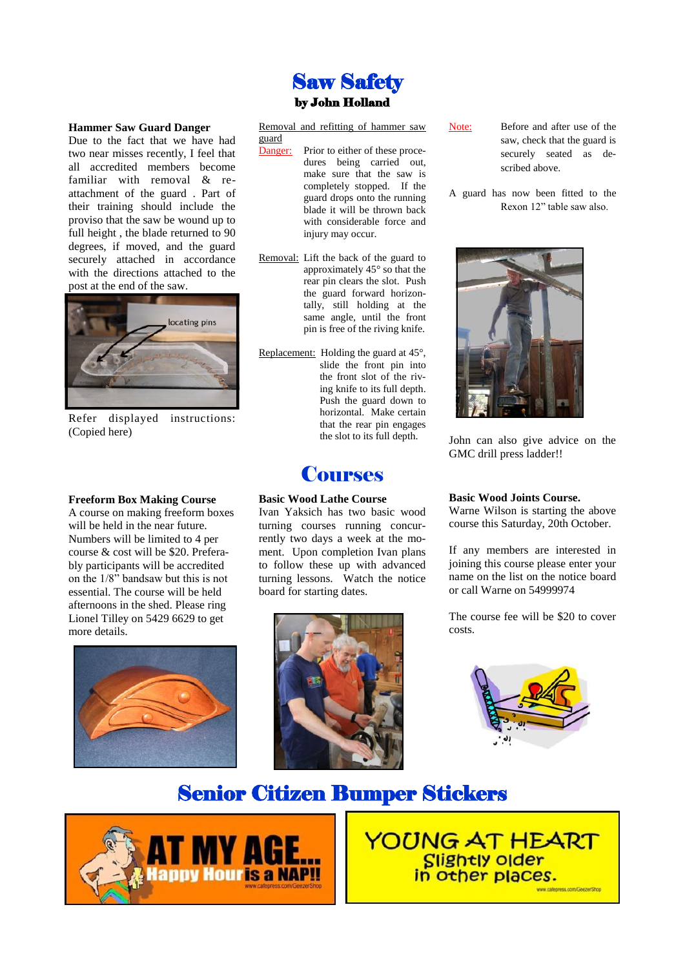## Saw Safety by John Holland

Removal and refitting of hammer saw

Danger: Prior to either of these proce-

injury may occur.

Removal: Lift the back of the guard to

Replacement: Holding the guard at 45°,

**Courses** 

Ivan Yaksich has two basic wood turning courses running concurrently two days a week at the moment. Upon completion Ivan plans to follow these up with advanced turning lessons. Watch the notice

**Basic Wood Lathe Course**

board for starting dates.

dures being carried out, make sure that the saw is completely stopped. If the guard drops onto the running blade it will be thrown back with considerable force and

approximately 45° so that the rear pin clears the slot. Push the guard forward horizontally, still holding at the same angle, until the front pin is free of the riving knife.

> slide the front pin into the front slot of the riving knife to its full depth. Push the guard down to horizontal. Make certain that the rear pin engages the slot to its full depth.

guard

#### **Hammer Saw Guard Danger**

Due to the fact that we have had two near misses recently, I feel that all accredited members become familiar with removal & reattachment of the guard . Part of their training should include the proviso that the saw be wound up to full height , the blade returned to 90 degrees, if moved, and the guard securely attached in accordance with the directions attached to the post at the end of the saw.



Refer displayed instructions: (Copied here)

#### **Freeform Box Making Course**

A course on making freeform boxes will be held in the near future. Numbers will be limited to 4 per course & cost will be \$20. Preferably participants will be accredited on the 1/8" bandsaw but this is not essential. The course will be held afternoons in the shed. Please ring Lionel Tilley on 5429 6629 to get more details.





Note: Before and after use of the saw, check that the guard is securely seated as described above.

A guard has now been fitted to the Rexon 12" table saw also.



John can also give advice on the GMC drill press ladder!!

### **Basic Wood Joints Course.**

Warne Wilson is starting the above course this Saturday, 20th October.

If any members are interested in joining this course please enter your name on the list on the notice board or call Warne on 54999974

The course fee will be \$20 to cover costs.



# Senior Citizen Bumper Stickers



**YOUNG AT HEART** Slightly older<br>in other places.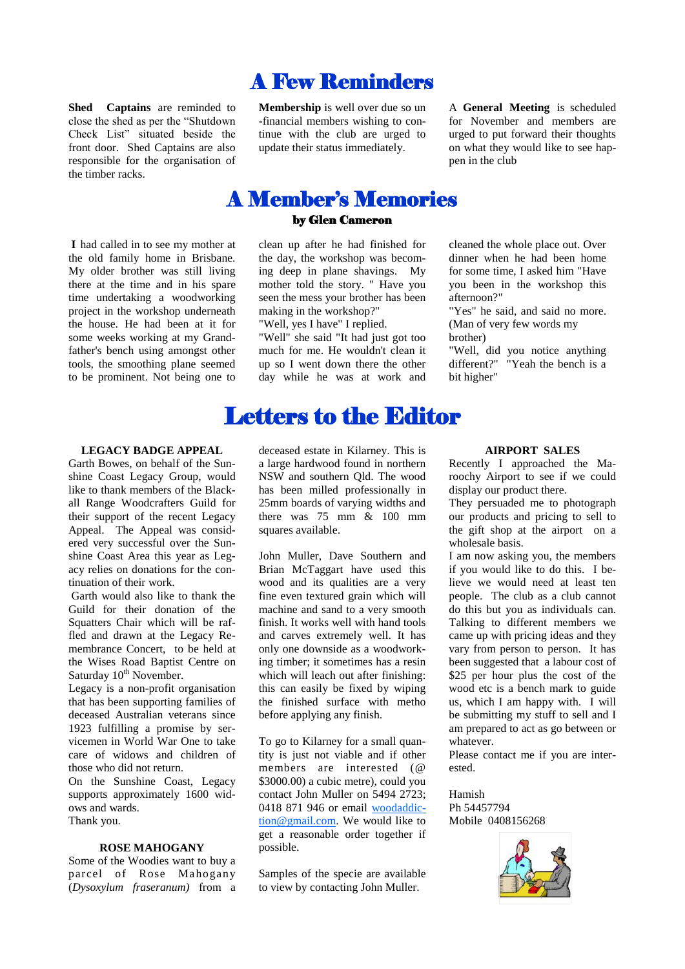**Shed Captains** are reminded to close the shed as per the "Shutdown Check List" situated beside the front door. Shed Captains are also responsible for the organisation of the timber racks.

**I** had called in to see my mother at the old family home in Brisbane. My older brother was still living there at the time and in his spare time undertaking a woodworking project in the workshop underneath the house. He had been at it for some weeks working at my Grandfather's bench using amongst other tools, the smoothing plane seemed to be prominent. Not being one to

**LEGACY BADGE APPEAL**

Garth Bowes, on behalf of the Sunshine Coast Legacy Group, would like to thank members of the Blackall Range Woodcrafters Guild for their support of the recent Legacy Appeal. The Appeal was considered very successful over the Sunshine Coast Area this year as Legacy relies on donations for the continuation of their work.

Garth would also like to thank the Guild for their donation of the Squatters Chair which will be raffled and drawn at the Legacy Remembrance Concert, to be held at the Wises Road Baptist Centre on Saturday 10<sup>th</sup> November.

Legacy is a non-profit organisation that has been supporting families of deceased Australian veterans since 1923 fulfilling a promise by servicemen in World War One to take care of widows and children of those who did not return.

On the Sunshine Coast, Legacy supports approximately 1600 widows and wards. Thank you.

#### **ROSE MAHOGANY**

Some of the Woodies want to buy a parcel of Rose Mahogany (*Dysoxylum fraseranum)* from a

## **Membership** is well over due so un -financial members wishing to con-

A Few Reminders

tinue with the club are urged to update their status immediately.

A **General Meeting** is scheduled for November and members are urged to put forward their thoughts on what they would like to see happen in the club

cleaned the whole place out. Over dinner when he had been home for some time, I asked him "Have you been in the workshop this

"Yes" he said, and said no more. (Man of very few words my

"Well, did you notice anything different?" "Yeah the bench is a

afternoon?"

brother)

bit higher"

## A Member's Memories

### by Glen Cameron

clean up after he had finished for the day, the workshop was becoming deep in plane shavings. My mother told the story. " Have you seen the mess your brother has been making in the workshop?"

"Well, yes I have" I replied.

"Well" she said "It had just got too much for me. He wouldn't clean it up so I went down there the other day while he was at work and

# Letters to the Editor

deceased estate in Kilarney. This is a large hardwood found in northern NSW and southern Qld. The wood has been milled professionally in 25mm boards of varying widths and there was 75 mm & 100 mm squares available.

John Muller, Dave Southern and Brian McTaggart have used this wood and its qualities are a very fine even textured grain which will machine and sand to a very smooth finish. It works well with hand tools and carves extremely well. It has only one downside as a woodworking timber; it sometimes has a resin which will leach out after finishing: this can easily be fixed by wiping the finished surface with metho before applying any finish.

To go to Kilarney for a small quantity is just not viable and if other members are interested (@ \$3000.00) a cubic metre), could you contact John Muller on 5494 2723; 0418 871 946 or email [woodaddic](mailto:woodaddiction@gmail.com)[tion@gmail.com.](mailto:woodaddiction@gmail.com) We would like to get a reasonable order together if possible.

Samples of the specie are available to view by contacting John Muller.

### **AIRPORT SALES**

Recently I approached the Maroochy Airport to see if we could display our product there.

They persuaded me to photograph our products and pricing to sell to the gift shop at the airport on a wholesale basis.

I am now asking you, the members if you would like to do this. I believe we would need at least ten people. The club as a club cannot do this but you as individuals can. Talking to different members we came up with pricing ideas and they vary from person to person. It has been suggested that a labour cost of \$25 per hour plus the cost of the wood etc is a bench mark to guide us, which I am happy with. I will be submitting my stuff to sell and I am prepared to act as go between or whatever.

Please contact me if you are interested.

Hamish Ph 54457794 Mobile 0408156268

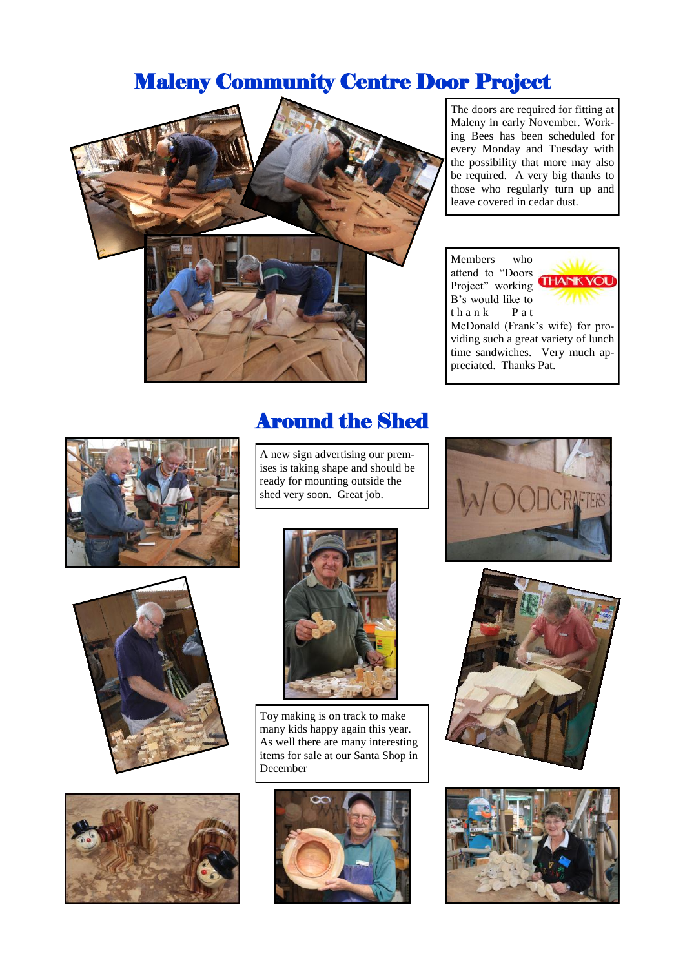# Maleny Community Centre Door Project



The doors are required for fitting at Maleny in early November. Working Bees has been scheduled for every Monday and Tuesday with the possibility that more may also be required. A very big thanks to those who regularly turn up and leave covered in cedar dust.

Members who attend to "Doors Project" working B's would like to thank Pat



McDonald (Frank's wife) for providing such a great variety of lunch time sandwiches. Very much appreciated. Thanks Pat.







# Around the Shed

A new sign advertising our premises is taking shape and should be ready for mounting outside the shed very soon. Great job.



Toy making is on track to make many kids happy again this year. As well there are many interesting items for sale at our Santa Shop in December







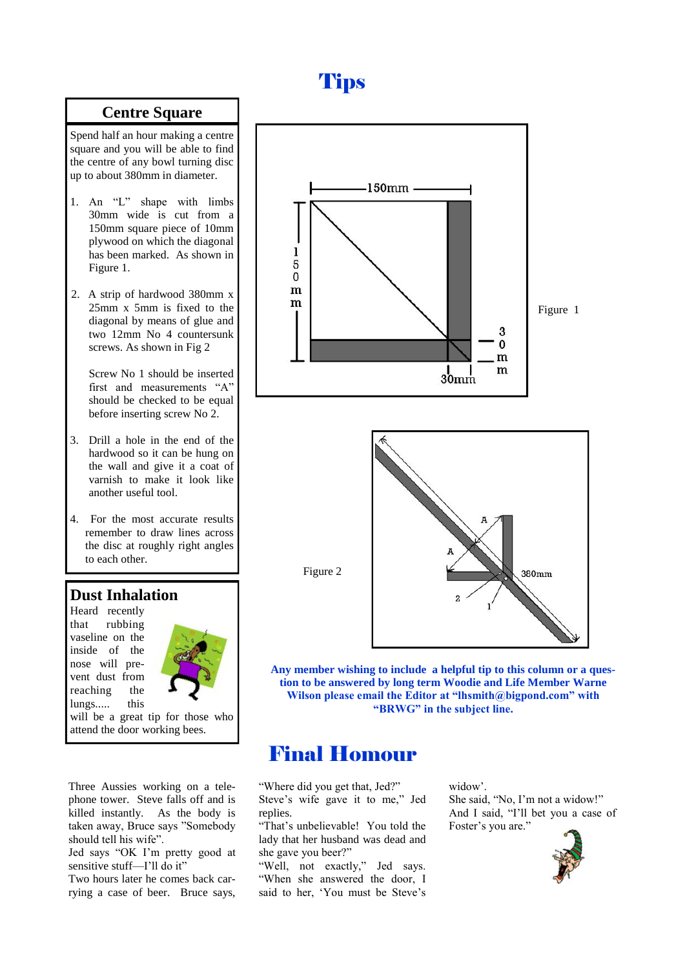# **Tips**

## **Centre Square**

Spend half an hour making a centre square and you will be able to find the centre of any bowl turning disc up to about 380mm in diameter.

- 1. An "L" shape with limbs 30mm wide is cut from a 150mm square piece of 10mm plywood on which the diagonal has been marked. As shown in Figure 1.
- 2. A strip of hardwood 380mm x 25mm x 5mm is fixed to the diagonal by means of glue and two 12mm No 4 countersunk screws. As shown in Fig 2

Screw No 1 should be inserted first and measurements "A" should be checked to be equal before inserting screw No 2.

- 3. Drill a hole in the end of the hardwood so it can be hung on the wall and give it a coat of varnish to make it look like another useful tool.
- 4. For the most accurate results remember to draw lines across the disc at roughly right angles to each other.

## **Dust Inhalation**

Heard recently that rubbing vaseline on the inside of the nose will prevent dust from reaching the lungs..... this



will be a great tip for those who attend the door working bees.

Three Aussies working on a telephone tower. Steve falls off and is killed instantly. As the body is taken away, Bruce says "Somebody should tell his wife".

Jed says "OK I'm pretty good at sensitive stuff—I'll do it"

Two hours later he comes back carrying a case of beer. Bruce says,





**Any member wishing to include a helpful tip to this column or a question to be answered by long term Woodie and Life Member Warne Wilson please email the Editor at "lhsmith@bigpond.com" with "BRWG" in the subject line.**

# Final Homour

"Where did you get that, Jed?" Steve's wife gave it to me," Jed replies.

"That's unbelievable! You told the lady that her husband was dead and she gave you beer?"

"Well, not exactly," Jed says. "When she answered the door, I said to her, 'You must be Steve's

widow'. She said, "No, I'm not a widow!" And I said, "I'll bet you a case of Foster's you are."

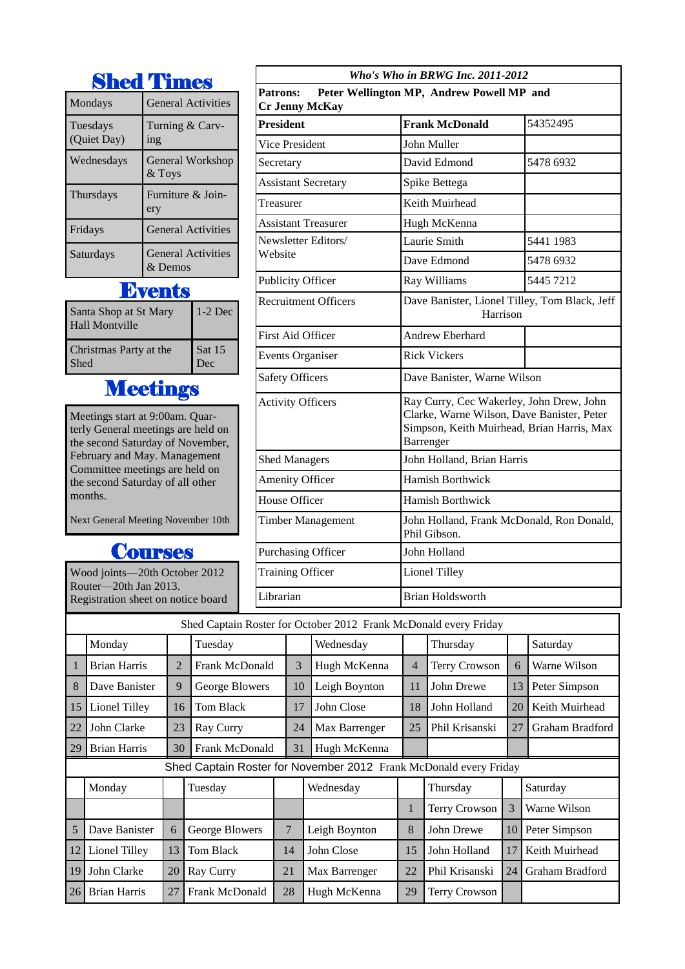|                         | <b>Shed Times</b>                    |
|-------------------------|--------------------------------------|
| Mondays                 | <b>General Activities</b>            |
| Tuesdays<br>(Quiet Day) | Turning & Carv-<br>ing               |
| Wednesdays              | <b>General Workshop</b><br>$&$ Toys  |
| Thursdays               | Furniture & Join-<br>ery             |
| Fridays                 | <b>General Activities</b>            |
| Saturdays               | <b>General Activities</b><br>& Demos |

# **Events**

| Santa Shop at St Mary<br><b>Hall Montville</b> | $1-2$ Dec |
|------------------------------------------------|-----------|
| Christmas Party at the                         | Sat 15    |
| <b>Shed</b>                                    | Dec       |

# **Meetings**

Meetings start at 9:00am. Quarterly General meetings are held on the second Saturday of November, February and May. Management Committee meetings are held on the second Saturday of all other months.

Next General Meeting November 10th

# **Courses**

Wood joints—20th October 2012 Router—20th Jan 2013. Registration sheet on notice board

|                                                                                       | Who's Who in BRWG Inc. 2011-2012 |                                                                                                                                      |  |  |  |  |  |
|---------------------------------------------------------------------------------------|----------------------------------|--------------------------------------------------------------------------------------------------------------------------------------|--|--|--|--|--|
| <b>Patrons:</b><br>Peter Wellington MP, Andrew Powell MP and<br><b>Cr Jenny McKay</b> |                                  |                                                                                                                                      |  |  |  |  |  |
| <b>President</b>                                                                      | <b>Frank McDonald</b>            | 54352495                                                                                                                             |  |  |  |  |  |
| Vice President                                                                        | John Muller                      |                                                                                                                                      |  |  |  |  |  |
| Secretary                                                                             | David Edmond                     | 5478 6932                                                                                                                            |  |  |  |  |  |
| <b>Assistant Secretary</b>                                                            | Spike Bettega                    |                                                                                                                                      |  |  |  |  |  |
| Treasurer                                                                             | Keith Muirhead                   |                                                                                                                                      |  |  |  |  |  |
| <b>Assistant Treasurer</b>                                                            | Hugh McKenna                     |                                                                                                                                      |  |  |  |  |  |
| Newsletter Editors/                                                                   | Laurie Smith                     | 5441 1983                                                                                                                            |  |  |  |  |  |
| Website                                                                               | Dave Edmond                      | 5478 6932                                                                                                                            |  |  |  |  |  |
| <b>Publicity Officer</b>                                                              | Ray Williams                     | 5445 7212                                                                                                                            |  |  |  |  |  |
| <b>Recruitment Officers</b>                                                           |                                  | Dave Banister, Lionel Tilley, Tom Black, Jeff<br>Harrison                                                                            |  |  |  |  |  |
| <b>First Aid Officer</b>                                                              | Andrew Eberhard                  |                                                                                                                                      |  |  |  |  |  |
| <b>Events Organiser</b>                                                               | <b>Rick Vickers</b>              |                                                                                                                                      |  |  |  |  |  |
| <b>Safety Officers</b>                                                                |                                  | Dave Banister, Warne Wilson                                                                                                          |  |  |  |  |  |
| <b>Activity Officers</b>                                                              | Barrenger                        | Ray Curry, Cec Wakerley, John Drew, John<br>Clarke, Warne Wilson, Dave Banister, Peter<br>Simpson, Keith Muirhead, Brian Harris, Max |  |  |  |  |  |
| <b>Shed Managers</b>                                                                  |                                  | John Holland, Brian Harris                                                                                                           |  |  |  |  |  |
| Amenity Officer                                                                       | <b>Hamish Borthwick</b>          |                                                                                                                                      |  |  |  |  |  |
| <b>House Officer</b>                                                                  | <b>Hamish Borthwick</b>          |                                                                                                                                      |  |  |  |  |  |
| <b>Timber Management</b>                                                              | Phil Gibson.                     | John Holland, Frank McDonald, Ron Donald,                                                                                            |  |  |  |  |  |
| Purchasing Officer                                                                    | John Holland                     |                                                                                                                                      |  |  |  |  |  |
| <b>Training Officer</b>                                                               | <b>Lionel Tilley</b>             |                                                                                                                                      |  |  |  |  |  |
| Librarian                                                                             | <b>Brian Holdsworth</b>          |                                                                                                                                      |  |  |  |  |  |
|                                                                                       |                                  |                                                                                                                                      |  |  |  |  |  |

| Shed Captain Roster for October 2012 Frank McDonald every Friday |                                                                   |    |                       |    |                  |               |    |                      |    |                 |
|------------------------------------------------------------------|-------------------------------------------------------------------|----|-----------------------|----|------------------|---------------|----|----------------------|----|-----------------|
|                                                                  | Monday                                                            |    | Tuesday               |    |                  | Wednesday     |    | Thursday             |    | Saturday        |
|                                                                  | <b>Brian Harris</b>                                               | 2  | <b>Frank McDonald</b> |    | 3                | Hugh McKenna  | 4  | <b>Terry Crowson</b> | 6  | Warne Wilson    |
| 8                                                                | Dave Banister                                                     | 9  | George Blowers        |    | 10               | Leigh Boynton | 11 | John Drewe           | 13 | Peter Simpson   |
| 15                                                               | Lionel Tilley                                                     | 16 | Tom Black             |    | 17<br>John Close |               | 18 | 20<br>John Holland   |    | Keith Muirhead  |
| 22                                                               | John Clarke                                                       | 23 | Ray Curry             |    | 24               | Max Barrenger | 25 | Phil Krisanski       | 27 | Graham Bradford |
| 29                                                               | <b>Brian Harris</b>                                               | 30 | Frank McDonald        |    | 31               | Hugh McKenna  |    |                      |    |                 |
|                                                                  | Shed Captain Roster for November 2012 Frank McDonald every Friday |    |                       |    |                  |               |    |                      |    |                 |
|                                                                  | Monday                                                            |    | Tuesday               |    |                  | Wednesday     |    | Thursday             |    | Saturday        |
|                                                                  |                                                                   |    |                       |    |                  |               | 1  | Terry Crowson        | 3  | Warne Wilson    |
| 5                                                                | Dave Banister                                                     | 6  | George Blowers        | 7  |                  | Leigh Boynton | 8  | John Drewe           | 10 | Peter Simpson   |
| 12                                                               | Lionel Tilley                                                     | 13 | <b>Tom Black</b>      | 14 |                  | John Close    | 15 | John Holland         | 17 | Keith Muirhead  |
| 19                                                               | John Clarke                                                       | 20 | Ray Curry             | 21 |                  | Max Barrenger | 22 | Phil Krisanski       | 24 | Graham Bradford |
| 26                                                               | <b>Brian Harris</b>                                               | 27 | <b>Frank McDonald</b> | 28 |                  | Hugh McKenna  | 29 | <b>Terry Crowson</b> |    |                 |